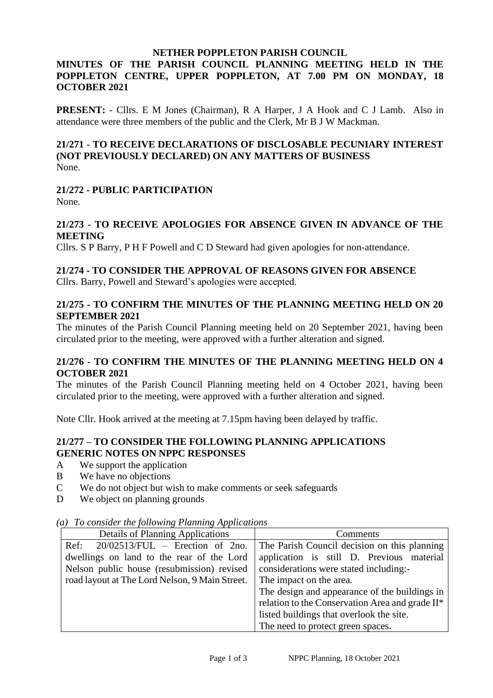#### **NETHER POPPLETON PARISH COUNCIL**

# **MINUTES OF THE PARISH COUNCIL PLANNING MEETING HELD IN THE POPPLETON CENTRE, UPPER POPPLETON, AT 7.00 PM ON MONDAY, 18 OCTOBER 2021**

**PRESENT:** - Cllrs. E M Jones (Chairman), R A Harper, J A Hook and C J Lamb. Also in attendance were three members of the public and the Clerk, Mr B J W Mackman.

#### **21/271 - TO RECEIVE DECLARATIONS OF DISCLOSABLE PECUNIARY INTEREST (NOT PREVIOUSLY DECLARED) ON ANY MATTERS OF BUSINESS** None.

# **21/272 - PUBLIC PARTICIPATION**

None.

## **21/273 - TO RECEIVE APOLOGIES FOR ABSENCE GIVEN IN ADVANCE OF THE MEETING**

Cllrs. S P Barry, P H F Powell and C D Steward had given apologies for non-attendance.

# **21/274 - TO CONSIDER THE APPROVAL OF REASONS GIVEN FOR ABSENCE**

Cllrs. Barry, Powell and Steward's apologies were accepted.

## **21/275 - TO CONFIRM THE MINUTES OF THE PLANNING MEETING HELD ON 20 SEPTEMBER 2021**

The minutes of the Parish Council Planning meeting held on 20 September 2021, having been circulated prior to the meeting, were approved with a further alteration and signed.

#### **21/276 - TO CONFIRM THE MINUTES OF THE PLANNING MEETING HELD ON 4 OCTOBER 2021**

The minutes of the Parish Council Planning meeting held on 4 October 2021, having been circulated prior to the meeting, were approved with a further alteration and signed.

Note Cllr. Hook arrived at the meeting at 7.15pm having been delayed by traffic.

# **21/277 – TO CONSIDER THE FOLLOWING PLANNING APPLICATIONS GENERIC NOTES ON NPPC RESPONSES**

- A We support the application
- B We have no objections
- C We do not object but wish to make comments or seek safeguards
- D We object on planning grounds

#### *(a) To consider the following Planning Applications*

| Details of Planning Applications               | Comments                                        |
|------------------------------------------------|-------------------------------------------------|
| Ref:<br>$20/02513/FUL$ – Erection of 2no.      | The Parish Council decision on this planning    |
| dwellings on land to the rear of the Lord      | application is still D. Previous material       |
| Nelson public house (resubmission) revised     | considerations were stated including:-          |
| road layout at The Lord Nelson, 9 Main Street. | The impact on the area.                         |
|                                                | The design and appearance of the buildings in   |
|                                                | relation to the Conservation Area and grade II* |
|                                                | listed buildings that overlook the site.        |
|                                                | The need to protect green spaces.               |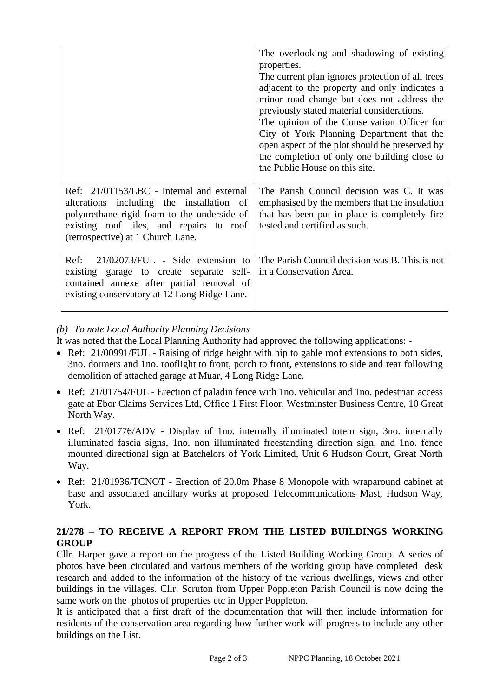|                                                                                                                                                                                                                        | The overlooking and shadowing of existing<br>properties.<br>The current plan ignores protection of all trees<br>adjacent to the property and only indicates a<br>minor road change but does not address the<br>previously stated material considerations.<br>The opinion of the Conservation Officer for<br>City of York Planning Department that the<br>open aspect of the plot should be preserved by<br>the completion of only one building close to<br>the Public House on this site. |
|------------------------------------------------------------------------------------------------------------------------------------------------------------------------------------------------------------------------|-------------------------------------------------------------------------------------------------------------------------------------------------------------------------------------------------------------------------------------------------------------------------------------------------------------------------------------------------------------------------------------------------------------------------------------------------------------------------------------------|
| Ref: 21/01153/LBC - Internal and external<br>alterations including the installation of<br>polyurethane rigid foam to the underside of<br>existing roof tiles, and repairs to roof<br>(retrospective) at 1 Church Lane. | The Parish Council decision was C. It was<br>emphasised by the members that the insulation<br>that has been put in place is completely fire<br>tested and certified as such.                                                                                                                                                                                                                                                                                                              |
| $21/02073/FUL$ - Side extension to<br>Ref:<br>existing garage to create separate self-<br>contained annexe after partial removal of<br>existing conservatory at 12 Long Ridge Lane.                                    | The Parish Council decision was B. This is not<br>in a Conservation Area.                                                                                                                                                                                                                                                                                                                                                                                                                 |

# *(b) To note Local Authority Planning Decisions*

It was noted that the Local Planning Authority had approved the following applications: -

- Ref: 21/00991/FUL Raising of ridge height with hip to gable roof extensions to both sides, 3no. dormers and 1no. rooflight to front, porch to front, extensions to side and rear following demolition of attached garage at Muar, 4 Long Ridge Lane.
- Ref: 21/01754/FUL Erection of paladin fence with 1no. vehicular and 1no. pedestrian access gate at Ebor Claims Services Ltd, Office 1 First Floor, Westminster Business Centre, 10 Great North Way.
- Ref: 21/01776/ADV Display of 1no. internally illuminated totem sign, 3no. internally illuminated fascia signs, 1no. non illuminated freestanding direction sign, and 1no. fence mounted directional sign at Batchelors of York Limited, Unit 6 Hudson Court, Great North Way.
- Ref: 21/01936/TCNOT Erection of 20.0m Phase 8 Monopole with wraparound cabinet at base and associated ancillary works at proposed Telecommunications Mast, Hudson Way, York.

# **21/278 – TO RECEIVE A REPORT FROM THE LISTED BUILDINGS WORKING GROUP**

Cllr. Harper gave a report on the progress of the Listed Building Working Group. A series of photos have been circulated and various members of the working group have completed desk research and added to the information of the history of the various dwellings, views and other buildings in the villages. Cllr. Scruton from Upper Poppleton Parish Council is now doing the same work on the photos of properties etc in Upper Poppleton.

It is anticipated that a first draft of the documentation that will then include information for residents of the conservation area regarding how further work will progress to include any other buildings on the List.